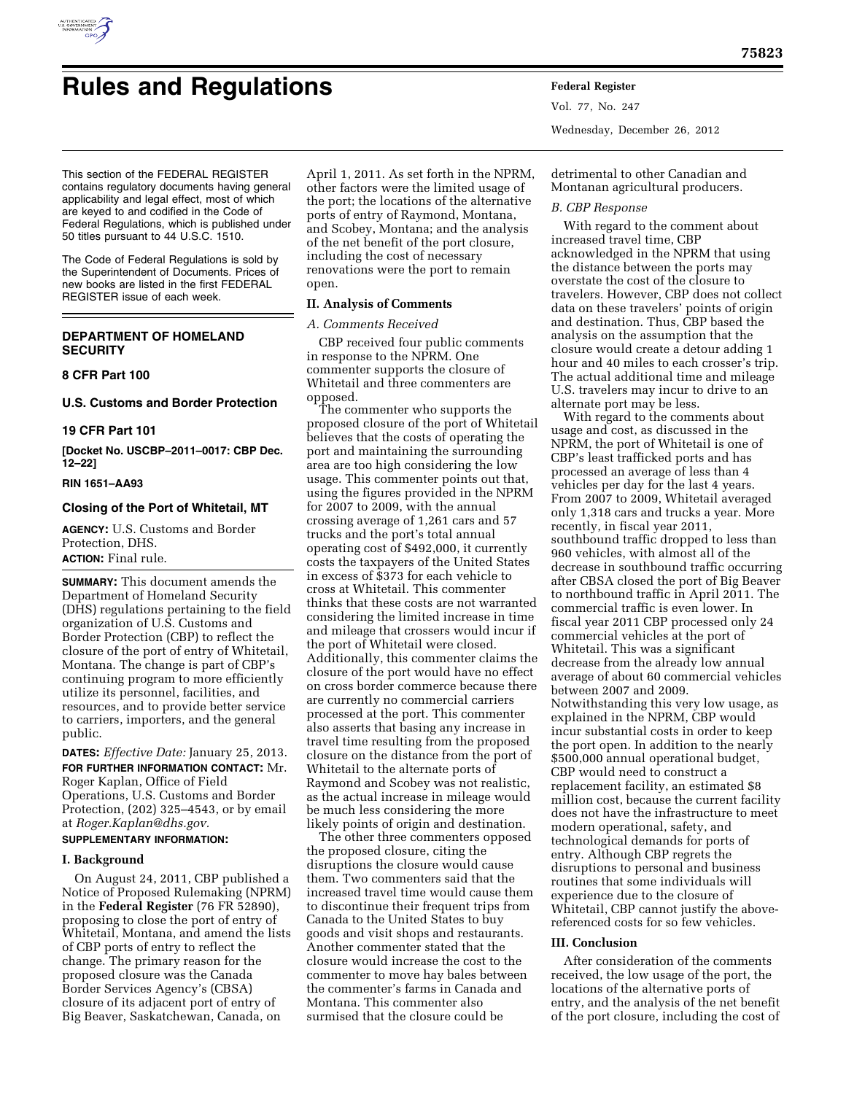

# **Rules and Regulations Federal Register**

Vol. 77, No. 247 Wednesday, December 26, 2012

This section of the FEDERAL REGISTER contains regulatory documents having general applicability and legal effect, most of which are keyed to and codified in the Code of Federal Regulations, which is published under 50 titles pursuant to 44 U.S.C. 1510.

The Code of Federal Regulations is sold by the Superintendent of Documents. Prices of new books are listed in the first FEDERAL REGISTER issue of each week.

# **DEPARTMENT OF HOMELAND SECURITY**

## **8 CFR Part 100**

# **U.S. Customs and Border Protection**

# **19 CFR Part 101**

**[Docket No. USCBP–2011–0017: CBP Dec. 12–22]** 

## **RIN 1651–AA93**

# **Closing of the Port of Whitetail, MT**

**AGENCY:** U.S. Customs and Border Protection, DHS. **ACTION:** Final rule.

**SUMMARY:** This document amends the Department of Homeland Security (DHS) regulations pertaining to the field organization of U.S. Customs and Border Protection (CBP) to reflect the closure of the port of entry of Whitetail, Montana. The change is part of CBP's continuing program to more efficiently utilize its personnel, facilities, and resources, and to provide better service to carriers, importers, and the general public.

**DATES:** *Effective Date:* January 25, 2013. **FOR FURTHER INFORMATION CONTACT:** Mr. Roger Kaplan, Office of Field Operations, U.S. Customs and Border Protection, (202) 325–4543, or by email at *[Roger.Kaplan@dhs.gov.](mailto:Roger.Kaplan@dhs.gov)*  **SUPPLEMENTARY INFORMATION:** 

# **I. Background**

On August 24, 2011, CBP published a Notice of Proposed Rulemaking (NPRM) in the **Federal Register** (76 FR 52890), proposing to close the port of entry of Whitetail, Montana, and amend the lists of CBP ports of entry to reflect the change. The primary reason for the proposed closure was the Canada Border Services Agency's (CBSA) closure of its adjacent port of entry of Big Beaver, Saskatchewan, Canada, on

April 1, 2011. As set forth in the NPRM, other factors were the limited usage of the port; the locations of the alternative ports of entry of Raymond, Montana, and Scobey, Montana; and the analysis of the net benefit of the port closure, including the cost of necessary renovations were the port to remain open.

# **II. Analysis of Comments**

# *A. Comments Received*

CBP received four public comments in response to the NPRM. One commenter supports the closure of Whitetail and three commenters are opposed.

The commenter who supports the proposed closure of the port of Whitetail believes that the costs of operating the port and maintaining the surrounding area are too high considering the low usage. This commenter points out that, using the figures provided in the NPRM for 2007 to 2009, with the annual crossing average of 1,261 cars and 57 trucks and the port's total annual operating cost of \$492,000, it currently costs the taxpayers of the United States in excess of \$373 for each vehicle to cross at Whitetail. This commenter thinks that these costs are not warranted considering the limited increase in time and mileage that crossers would incur if the port of Whitetail were closed. Additionally, this commenter claims the closure of the port would have no effect on cross border commerce because there are currently no commercial carriers processed at the port. This commenter also asserts that basing any increase in travel time resulting from the proposed closure on the distance from the port of Whitetail to the alternate ports of Raymond and Scobey was not realistic, as the actual increase in mileage would be much less considering the more likely points of origin and destination.

The other three commenters opposed the proposed closure, citing the disruptions the closure would cause them. Two commenters said that the increased travel time would cause them to discontinue their frequent trips from Canada to the United States to buy goods and visit shops and restaurants. Another commenter stated that the closure would increase the cost to the commenter to move hay bales between the commenter's farms in Canada and Montana. This commenter also surmised that the closure could be

detrimental to other Canadian and Montanan agricultural producers.

## *B. CBP Response*

With regard to the comment about increased travel time, CBP acknowledged in the NPRM that using the distance between the ports may overstate the cost of the closure to travelers. However, CBP does not collect data on these travelers' points of origin and destination. Thus, CBP based the analysis on the assumption that the closure would create a detour adding 1 hour and 40 miles to each crosser's trip. The actual additional time and mileage U.S. travelers may incur to drive to an alternate port may be less.

With regard to the comments about usage and cost, as discussed in the NPRM, the port of Whitetail is one of CBP's least trafficked ports and has processed an average of less than 4 vehicles per day for the last 4 years. From 2007 to 2009, Whitetail averaged only 1,318 cars and trucks a year. More recently, in fiscal year 2011, southbound traffic dropped to less than 960 vehicles, with almost all of the decrease in southbound traffic occurring after CBSA closed the port of Big Beaver to northbound traffic in April 2011. The commercial traffic is even lower. In fiscal year 2011 CBP processed only 24 commercial vehicles at the port of Whitetail. This was a significant decrease from the already low annual average of about 60 commercial vehicles between 2007 and 2009. Notwithstanding this very low usage, as explained in the NPRM, CBP would incur substantial costs in order to keep the port open. In addition to the nearly \$500,000 annual operational budget, CBP would need to construct a replacement facility, an estimated \$8 million cost, because the current facility does not have the infrastructure to meet modern operational, safety, and technological demands for ports of entry. Although CBP regrets the disruptions to personal and business routines that some individuals will experience due to the closure of Whitetail, CBP cannot justify the abovereferenced costs for so few vehicles.

## **III. Conclusion**

After consideration of the comments received, the low usage of the port, the locations of the alternative ports of entry, and the analysis of the net benefit of the port closure, including the cost of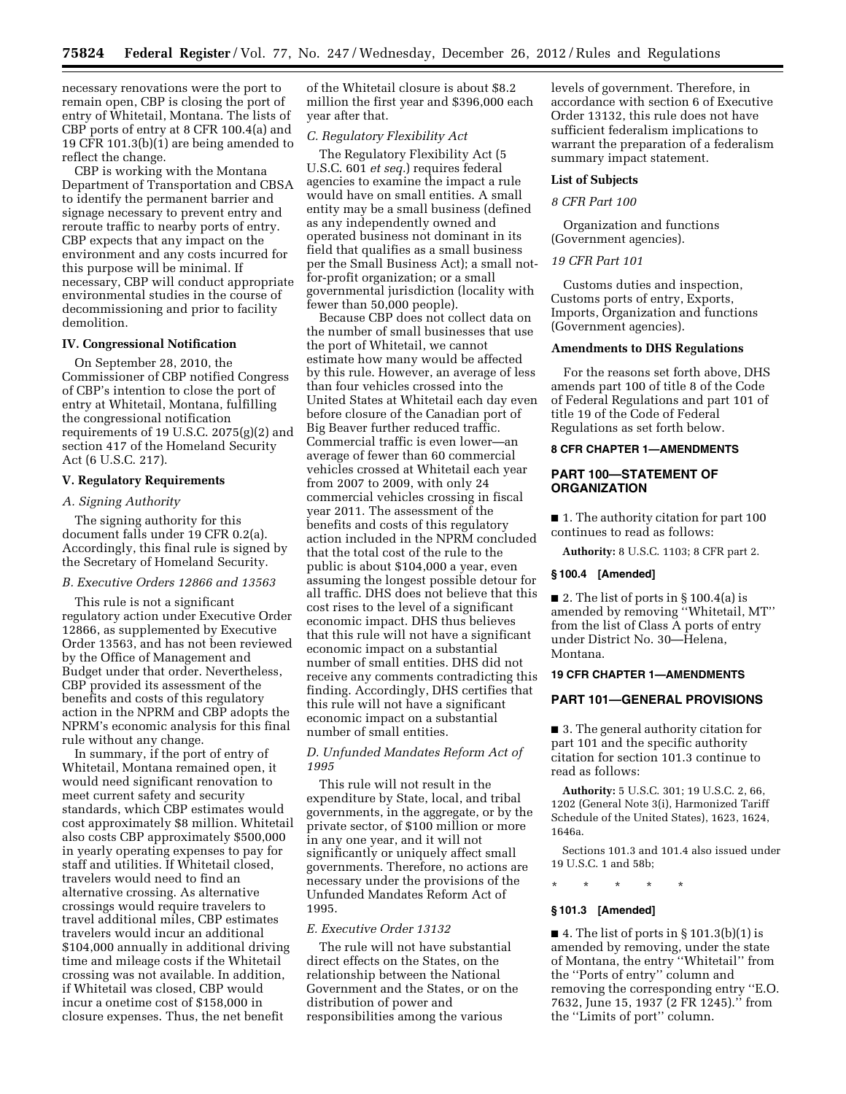necessary renovations were the port to remain open, CBP is closing the port of entry of Whitetail, Montana. The lists of CBP ports of entry at 8 CFR 100.4(a) and 19 CFR 101.3(b)(1) are being amended to reflect the change.

CBP is working with the Montana Department of Transportation and CBSA to identify the permanent barrier and signage necessary to prevent entry and reroute traffic to nearby ports of entry. CBP expects that any impact on the environment and any costs incurred for this purpose will be minimal. If necessary, CBP will conduct appropriate environmental studies in the course of decommissioning and prior to facility demolition.

## **IV. Congressional Notification**

On September 28, 2010, the Commissioner of CBP notified Congress of CBP's intention to close the port of entry at Whitetail, Montana, fulfilling the congressional notification requirements of 19 U.S.C. 2075(g)(2) and section 417 of the Homeland Security Act (6 U.S.C. 217).

## **V. Regulatory Requirements**

#### *A. Signing Authority*

The signing authority for this document falls under 19 CFR 0.2(a). Accordingly, this final rule is signed by the Secretary of Homeland Security.

# *B. Executive Orders 12866 and 13563*

This rule is not a significant regulatory action under Executive Order 12866, as supplemented by Executive Order 13563, and has not been reviewed by the Office of Management and Budget under that order. Nevertheless, CBP provided its assessment of the benefits and costs of this regulatory action in the NPRM and CBP adopts the NPRM's economic analysis for this final rule without any change.

In summary, if the port of entry of Whitetail, Montana remained open, it would need significant renovation to meet current safety and security standards, which CBP estimates would cost approximately \$8 million. Whitetail also costs CBP approximately \$500,000 in yearly operating expenses to pay for staff and utilities. If Whitetail closed, travelers would need to find an alternative crossing. As alternative crossings would require travelers to travel additional miles, CBP estimates travelers would incur an additional \$104,000 annually in additional driving time and mileage costs if the Whitetail crossing was not available. In addition, if Whitetail was closed, CBP would incur a onetime cost of \$158,000 in closure expenses. Thus, the net benefit

of the Whitetail closure is about \$8.2 million the first year and \$396,000 each year after that.

# *C. Regulatory Flexibility Act*

The Regulatory Flexibility Act (5 U.S.C. 601 *et seq.*) requires federal agencies to examine the impact a rule would have on small entities. A small entity may be a small business (defined as any independently owned and operated business not dominant in its field that qualifies as a small business per the Small Business Act); a small notfor-profit organization; or a small governmental jurisdiction (locality with fewer than 50,000 people).

Because CBP does not collect data on the number of small businesses that use the port of Whitetail, we cannot estimate how many would be affected by this rule. However, an average of less than four vehicles crossed into the United States at Whitetail each day even before closure of the Canadian port of Big Beaver further reduced traffic. Commercial traffic is even lower—an average of fewer than 60 commercial vehicles crossed at Whitetail each year from 2007 to 2009, with only 24 commercial vehicles crossing in fiscal year 2011. The assessment of the benefits and costs of this regulatory action included in the NPRM concluded that the total cost of the rule to the public is about \$104,000 a year, even assuming the longest possible detour for all traffic. DHS does not believe that this cost rises to the level of a significant economic impact. DHS thus believes that this rule will not have a significant economic impact on a substantial number of small entities. DHS did not receive any comments contradicting this finding. Accordingly, DHS certifies that this rule will not have a significant economic impact on a substantial number of small entities.

## *D. Unfunded Mandates Reform Act of 1995*

This rule will not result in the expenditure by State, local, and tribal governments, in the aggregate, or by the private sector, of \$100 million or more in any one year, and it will not significantly or uniquely affect small governments. Therefore, no actions are necessary under the provisions of the Unfunded Mandates Reform Act of 1995.

#### *E. Executive Order 13132*

The rule will not have substantial direct effects on the States, on the relationship between the National Government and the States, or on the distribution of power and responsibilities among the various

levels of government. Therefore, in accordance with section 6 of Executive Order 13132, this rule does not have sufficient federalism implications to warrant the preparation of a federalism summary impact statement.

#### **List of Subjects**

## *8 CFR Part 100*

Organization and functions (Government agencies).

#### *19 CFR Part 101*

Customs duties and inspection, Customs ports of entry, Exports, Imports, Organization and functions (Government agencies).

#### **Amendments to DHS Regulations**

For the reasons set forth above, DHS amends part 100 of title 8 of the Code of Federal Regulations and part 101 of title 19 of the Code of Federal Regulations as set forth below.

## **8 CFR CHAPTER 1—AMENDMENTS**

## **PART 100—STATEMENT OF ORGANIZATION**

■ 1. The authority citation for part 100 continues to read as follows:

**Authority:** 8 U.S.C. 1103; 8 CFR part 2.

#### **§ 100.4 [Amended]**

 $\blacksquare$  **2.** The list of ports in § 100.4(a) is amended by removing ''Whitetail, MT'' from the list of Class A ports of entry under District No. 30—Helena, Montana.

## **19 CFR CHAPTER 1—AMENDMENTS**

## **PART 101—GENERAL PROVISIONS**

■ 3. The general authority citation for part 101 and the specific authority citation for section 101.3 continue to read as follows:

**Authority:** 5 U.S.C. 301; 19 U.S.C. 2, 66, 1202 (General Note 3(i), Harmonized Tariff Schedule of the United States), 1623, 1624, 1646a.

Sections 101.3 and 101.4 also issued under 19 U.S.C. 1 and 58b;

#### \* \* \* \* \*

## **§ 101.3 [Amended]**

 $\blacksquare$  4. The list of ports in § 101.3(b)(1) is amended by removing, under the state of Montana, the entry ''Whitetail'' from the ''Ports of entry'' column and removing the corresponding entry ''E.O. 7632, June 15, 1937 (2 FR 1245).'' from the ''Limits of port'' column.